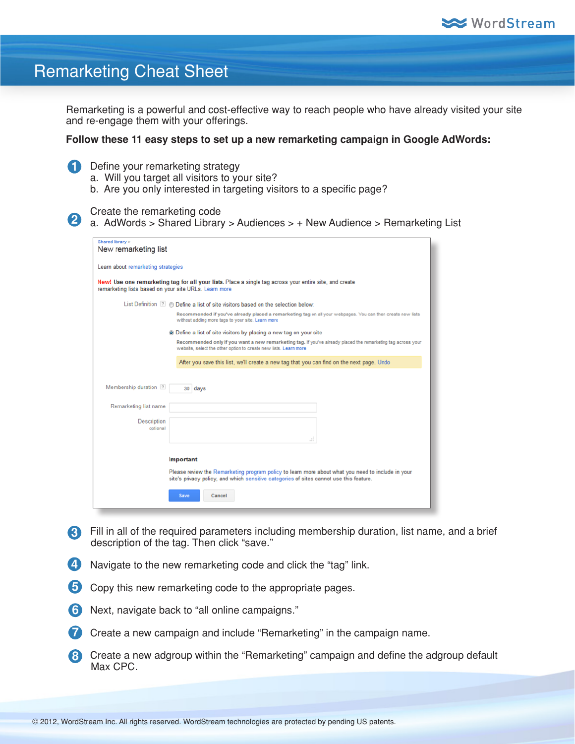

## Remarketing Cheat Sheet

Remarketing is a powerful and cost-effective way to reach people who have already visited your site and re-engage them with your offerings.

## **Follow these 11 easy steps to set up a new remarketing campaign in Google AdWords:**

- 1 Define your remarketing strategy
	- a. Will you target all visitors to your site?
	- b. Are you only interested in targeting visitors to a specific page?

## Create the remarketing code

2 a. AdWords > Shared Library > Audiences > + New Audience > Remarketing List

| Shared library ><br>New remarketing list              |                                                                                                                                                                                              |
|-------------------------------------------------------|----------------------------------------------------------------------------------------------------------------------------------------------------------------------------------------------|
| Learn about remarketing strategies                    |                                                                                                                                                                                              |
| remarketing lists based on your site URLs. Learn more | New! Use one remarketing tag for all your lists. Place a single tag across your entire site, and create                                                                                      |
|                                                       | List Definition 7 © Define a list of site visitors based on the selection below:                                                                                                             |
|                                                       | Recommended if you've already placed a remarketing tag on all your webpages. You can then create new lists<br>without adding more tags to your site. Learn more                              |
|                                                       | • Define a list of site visitors by placing a new tag on your site                                                                                                                           |
|                                                       | Recommended only if you want a new remarketing tag. If you've already placed the remarketing tag across your<br>website, select the other option to create new lists. Learn more             |
|                                                       | After you save this list, we'll create a new tag that you can find on the next page. Undo                                                                                                    |
| Membership duration 7                                 | 30 days                                                                                                                                                                                      |
| Remarketing list name                                 |                                                                                                                                                                                              |
| Description<br>optional                               |                                                                                                                                                                                              |
|                                                       | ÷.                                                                                                                                                                                           |
|                                                       | Important                                                                                                                                                                                    |
|                                                       | Please review the Remarketing program policy to learn more about what you need to include in your<br>site's privacy policy, and which sensitive categories of sites cannot use this feature. |
|                                                       | Save<br>Cancel                                                                                                                                                                               |

- Fill in all of the required parameters including membership duration, list name, and a brief **3** description of the tag. Then click "save."
- 4. Navigate to the new remarketing code and click the "tag" link.
- 5 Copy this new remarketing code to the appropriate pages.
- Next, navigate back to "all online campaigns." **6**
- **7** Create a new campaign and include "Remarketing" in the campaign name.
- 8 Create a new adgroup within the "Remarketing" campaign and define the adgroup default Max CPC.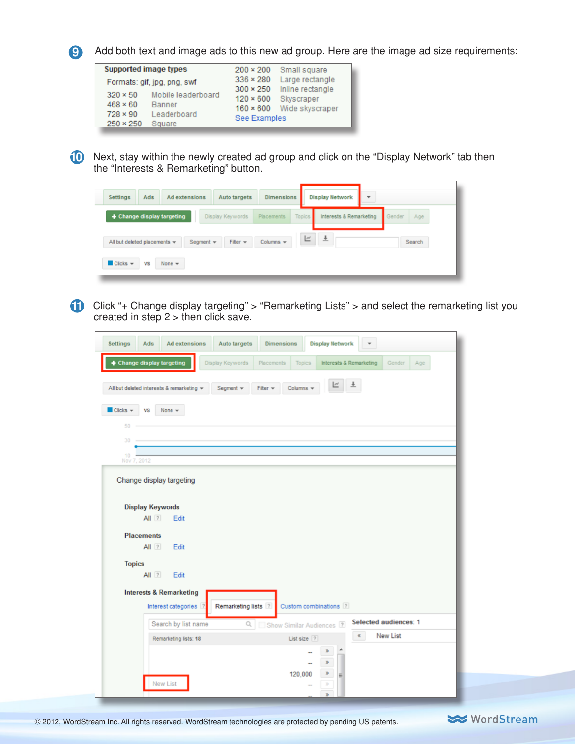

**9** Add both text and image ads to this new ad group. Here are the image ad size requirements:

| <b>Supported image types</b> |                             | $200 \times 200$ | Small square                                      |
|------------------------------|-----------------------------|------------------|---------------------------------------------------|
|                              | Formats: gif, jpg, png, swf | $336 \times 280$ | Large rectangle                                   |
| $320 \times 50$              | Mobile leaderboard          | $300 \times 250$ | Inline rectangle                                  |
| $468 \times 60$              | Banner                      |                  | 120 × 600 Skyscraper<br>160 × 600 Wide skyscraper |
| $728 \times 90$              | Leaderboard                 | See Examples     |                                                   |
| $250 \times 250$             | Square                      |                  |                                                   |



Next, stay within the newly created ad group and click on the "Display Network" tab then **10** the "Interests & Remarketing" button.

| Ads<br><b>Settings</b>                                                 | <b>Ad extensions</b> | Auto targets     | <b>Dimensions</b> |        | <b>Display Network</b>  | $\overline{\phantom{a}}$ |        |        |
|------------------------------------------------------------------------|----------------------|------------------|-------------------|--------|-------------------------|--------------------------|--------|--------|
| + Change display targeting                                             |                      | Display Keywords | <b>Placements</b> | Topics | Interests & Remarketing |                          | Gender | Age    |
| All but deleted placements $\blacktriangledown$                        | Segment $\sim$       | Filter $\mathbf$ | Columns $\sim$    | Ľ      | $\overline{1}$          |                          |        | Search |
| $\blacksquare$ Clicks $\blacktriangledown$<br>None $\rightarrow$<br>VS |                      |                  |                   |        |                         |                          |        |        |

Click "+ Change display targeting" > "Remarketing Lists" > and select the remarketing list you **11** created in step  $2 >$  then click save.

|                                                                                                                                                                     | <b>Display Network</b><br><b>Dimensions</b>                             |
|---------------------------------------------------------------------------------------------------------------------------------------------------------------------|-------------------------------------------------------------------------|
| + Change display targeting<br>Display Keywords                                                                                                                      | Interests & Remarketing<br>Placements<br>Gender<br>Age<br><b>Topics</b> |
| All but deleted interests & remarketing v<br>Segment +                                                                                                              | Ľ<br>Fiter +<br>Columns $\star$                                         |
| $\blacksquare$ Clicks $\blacktriangledown$<br><b>VS</b><br>None $\mathbf$                                                                                           |                                                                         |
| 50                                                                                                                                                                  |                                                                         |
| 30<br>10                                                                                                                                                            |                                                                         |
| Nov 7, 2012                                                                                                                                                         |                                                                         |
| <b>Display Keywords</b><br>All $\sqrt{2}$<br>Edit<br><b>Placements</b><br>$All$ ?<br>Edit<br><b>Topics</b><br>$All$ ?<br>Edit<br><b>Interests &amp; Remarketing</b> |                                                                         |
| Remarketing lists ?<br>Interest categories ?                                                                                                                        | Custom combinations ?                                                   |
| Search by list name                                                                                                                                                 | Selected audiences: 1<br>Q Show Similar Audiences ?                     |
| Remarketing lists: 18                                                                                                                                               | <b>New List</b><br>$\alpha$<br>List size ?                              |
|                                                                                                                                                                     | D<br>B                                                                  |